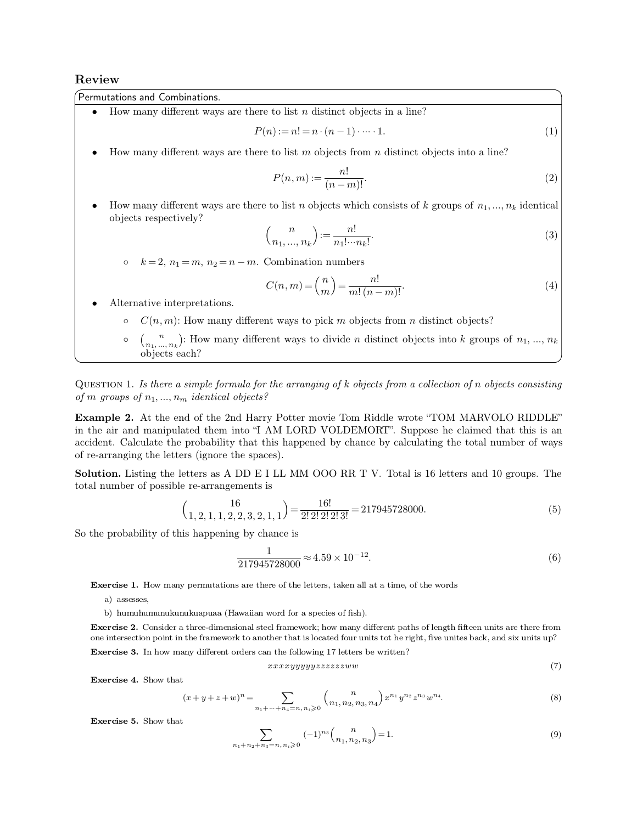## **Review**

Permutations and Combinations.

- How many different ways are there to list *n* distinct objects in a line?<br> $P(n) := n! = n \cdot (n-1) \cdot \dots \cdot 1$ . **P**(*n*):= *n*! = *n* · (*n* - 1) · · · · 1. (1)<br>
• How many different ways are there to list *n* objects from *n* distinct objects into a line?<br>
• How many different ways are there to list *m* objects from *n* distinct o
- How many different ways are there to list m objects from n distinct objects into a line?

$$
P(n,m) := \frac{n!}{(n-m)!}.\tag{2}
$$

How many different ways are there to list *n* objects from *n* distinct objects into a line?<br>  $P(n,m) := \frac{n!}{(n-m)!}$ . (2)<br>
How many different ways are there to list *n* objects which consists of *k* groups of *n*<sub>1</sub>, ..., *n<sub>k*</sub> How many different ways are<br>bijects respectively? *k* = 2, *n*<sub>1</sub> = *m*, *n*<sub>2</sub> = *n m*. Combination numbers<br>  $P(k) = \frac{n!}{n_1! \cdots n_k!}$ .<br>  $\binom{n}{n_1, \ldots, n_k} := \frac{n!}{n_1! \cdots n_k!}$ .<br>  $\binom{n}{n_1, \ldots, n_k} = \binom{n}{n} = \frac{n!}{n_1! \cdots n_k!}$ 

$$
(n-m)!
$$
  
\n
$$
(\mathbf{b} - \mathbf{b})
$$
  
\n
$$
(\mathbf{b} - \mathbf{b})
$$
  
\n
$$
(\mathbf{b} - \mathbf{b})
$$
  
\n
$$
(\mathbf{b} - \mathbf{b})
$$
  
\n
$$
(\mathbf{b} - \mathbf{b})
$$
  
\n
$$
(\mathbf{b} - \mathbf{b})
$$
  
\n
$$
(\mathbf{b} - \mathbf{b})
$$
  
\n
$$
(\mathbf{b} - \mathbf{b})
$$
  
\n
$$
(\mathbf{b} - \mathbf{b})
$$
  
\n
$$
(\mathbf{c} - \mathbf{b})
$$
  
\n
$$
(\mathbf{c} - \mathbf{b})
$$
  
\n
$$
(\mathbf{c} - \mathbf{b})
$$
  
\n
$$
(\mathbf{c} - \mathbf{b})
$$
  
\n
$$
(\mathbf{d} - \mathbf{b})
$$
  
\n
$$
(\mathbf{e} - \mathbf{b})
$$
  
\n
$$
(\mathbf{e} - \mathbf{b})
$$
  
\n
$$
(\mathbf{e} - \mathbf{b})
$$
  
\n
$$
(\mathbf{e} - \mathbf{b})
$$
  
\n
$$
(\mathbf{e} - \mathbf{b})
$$
  
\n
$$
(\mathbf{e} - \mathbf{b})
$$
  
\n
$$
(\mathbf{e} - \mathbf{b})
$$
  
\n
$$
(\mathbf{e} - \mathbf{b})
$$
  
\n
$$
(\mathbf{e} - \mathbf{b})
$$
  
\n
$$
(\mathbf{e} - \mathbf{b})
$$
  
\n
$$
(\mathbf{e} - \mathbf{b})
$$
  
\n
$$
(\mathbf{e} - \mathbf{b})
$$
  
\n
$$
(\mathbf{e} - \mathbf{b})
$$
  
\n
$$
(\mathbf{e} - \mathbf{b})
$$
  
\n
$$
(\mathbf{e} - \mathbf{b})
$$
  
\n
$$
(\mathbf{e} - \mathbf{b})
$$
  
\n

 $k = 2, n_1 = m, n_2 = n - m$ . Combination numbers<br> $C(n, m) = {n \choose k} =$ 

$$
(n_1, ..., n_k) \quad n_1! \cdots n_k!
$$
\n
$$
k = 2, n_1 = m, n_2 = n - m.
$$
 Combination numbers\n
$$
C(n, m) = \binom{n}{m} = \frac{n!}{m!(n-m)!}.
$$
\nAlternative interpretations.

\n
$$
C(n, m): \text{How many different ways to pick } m \text{ objects from } n \text{ distinct objects?}
$$
\n
$$
\begin{bmatrix}\n\vdots & \vdots & \vdots \\
\vdots & \vdots & \ddots \\
\vdots & \vdots & \ddots & \vdots \\
\vdots & \vdots & \ddots & \vdots \\
\vdots & \vdots & \ddots & \vdots \\
\vdots & \vdots & \ddots & \vdots \\
\vdots & \vdots & \ddots & \vdots \\
\vdots & \vdots & \ddots & \vdots \\
\vdots & \vdots & \ddots & \vdots \\
\vdots & \vdots & \ddots & \vdots \\
\vdots & \vdots & \ddots & \vdots \\
\vdots & \vdots & \ddots & \vdots \\
\vdots & \vdots & \ddots & \vdots \\
\vdots & \vdots & \ddots & \vdots \\
\vdots & \vdots & \ddots & \vdots \\
\vdots & \vdots & \ddots & \vdots \\
\vdots & \vdots & \ddots & \vdots \\
\vdots & \vdots & \ddots & \vdots \\
\vdots & \vdots & \ddots & \vdots \\
\vdots & \vdots & \ddots & \vdots \\
\vdots & \vdots & \ddots & \vdots \\
\vdots & \vdots & \ddots & \vdots \\
\vdots & \vdots & \ddots & \vdots \\
\vdots & \vdots & \ddots & \vdots \\
\vdots & \vdots & \ddots & \vdots \\
\vdots & \vdots & \ddots & \vdots \\
\vdots & \vdots & \ddots & \vdots \\
\vdots & \vdots & \ddots & \vdots \\
\vdots &
$$

- -
- $C(n, m) = {n \choose m} = \frac{n!}{m! (n-m)!}$ . (4)<br>  $C(n, m)$ : How many different ways to pick *m* objects from *n* distinct objects?<br>  $C(n, m)$ : How many different ways to divide *n* distinct objects into *k* groups of *n*<sub>1</sub>, ..., *n*<sub>k</sub><br>
bj ative interpretations.<br>  $C(n, m)$ : How many  $\binom{n}{n_1, ..., n_k}$ : How many objects each?

 $C(n, m)$ : How many different ways to pick *m* objects from *n* distinct objects!<br>  $\begin{pmatrix} n \\ (n_1, ..., n_k) \end{pmatrix}$ : How many different ways to divide *n* distinct objects into *k* groups of  $n_1, ..., n_k$ <br>
objects each?<br>
QUESTION 1. *o*  $\binom{n}{n_1, ..., n_k}$ : How many different ways<br>
objects each?<br>
QUESTION 1. Is there a simple formula for the arra:<br>
of *m* groups of  $n_1, ..., n_m$  identical objects?<br> **Example 2.** At the end of the 2nd Harry Potter **Example** 2. At the end of the 2nd Harry Potter movie Tom Riddle wrote "TOM MARVOLO RIDDLE"<br>
in the air and manipulated them into "I AM LORD VOLDEMORT". Suppose he claimed that this is an

QUESTION 1. Is there a simple formula for the arranging of k objects from a collection of n objects consisting<br>of m groups of  $n_1, ..., n_m$  identical objects?<br>**Example 2.** At the end of the 2nd Harry Potter movie Tom Riddle w QUESTION 1. Is there a simple formula for the arranging of k objects from a collection of n objects consisting<br>of m groups of  $n_1, ..., n_m$  identical objects?<br>**Example 2.** At the end of the 2nd Harry Potter movie Tom Riddle w of *m* groups of  $n_1, ..., n_m$  identical objects?<br> **Example 2.** At the end of the 2nd Harry Potter<br>
in the air and manipulated them into "I AM LOI<br>
accident. Calculate the probability that this happ<br>
of re-arranging the lette **Example 2.** At the end of the 2nd Harry Potter movie Tom Riddle wrote "TOM MARVOLO RIDDLE" in the air and manipulated them into "I AM LORD VOLDEMORT". Suppose he claimed that this is an accident. Calculate the probability in the air and manipulated them into "I AM LOR accident. Calculate the probability that this happed of re-arranging the letters (ignore the spaces).<br> **Solution.** Listing the letters as A DD E I LL MM total number of possi

**Solution.** Listing the letters as A DD E I LL MM OOO RR T V. Total is 16 letters and 10 groups. The

total number of possible re-arrangements is

\n
$$
\binom{16}{1, 2, 1, 1, 2, 2, 3, 2, 1, 1} = \frac{16!}{2! \ 2! \ 2! \ 2! \ 3!} = 217945728000.
$$
\nSo the probability of this happening by chance is

\n(5)

$$
\frac{1}{217945728000} \approx 4.59 \times 10^{-12}.\tag{6}
$$

**Exercise 1.** How many permutations are there of the letters, taken all at a time, of the words a) assesses.

- 
- 

 $211949128000$ <br>
hercise 1. How many permutations are there of the letters, taken all at a<br>
a) assesses,<br>
b) humuhumunukunukuapuaa (Hawaiian word for a species of fish).<br> **ercise 2.** Consider a three-dimensional steel fram **Exercise 1.** How many permutations are there of the letters, taken all at a time, of the words<br>
a) assesses,<br>
b) humuhumunukunukuapuaa (Hawaiian word for a species of fish).<br> **Exercise 2.** Consider a three-dimensional ste one intersection point in the framework to another that is located four units of length fifteen units are there from<br>one intersection point in the framework to another that is located four units tot he right, five unites b b) humuhumunukunukuapuaa (Hawaiian word for a species of fish).<br> **Exercise 2.** Consider a three-dimensional steel framework; how many different paths of len<br>
one intersection point in the framework to another that is loca one intersection point in the framework to another that is located four units tot he right, five unites back, and six units up?<br> **Exercise 3.** In how many different orders can the following 17 letters be written?<br>  $xxxxyyyyyzzzz$ 

$$
xxxxyyyyyzzzzzzww \tag{7}
$$

$$
xxxxyyyyyzzzzzzww
$$
 (7)  

$$
(x+y+z+w)^n = \sum_{n_1+\dots+n_4=n, n_i \ge 0} {n \choose n_1, n_2, n_3, n_4} x^{n_1} y^{n_2} z^{n_3} w^{n_4}.
$$
 (8)

**Exercise 4.** Show that  $(x + y - z)$ <br>**Exercise 5.** Show that

$$
w)^n = \sum_{n_1 + \dots + n_4 = n, n_i \geqslant 0} {n \choose n_1, n_2, n_3, n_4} x^{n_1} y^{n_2} z^{n_3} w^{n_4}.
$$
\n
$$
\sum_{n_1 + n_2 + n_3 = n, n_i \geqslant 0} (-1)^{n_3} {n \choose n_1, n_2, n_3} = 1.
$$
\n(9)